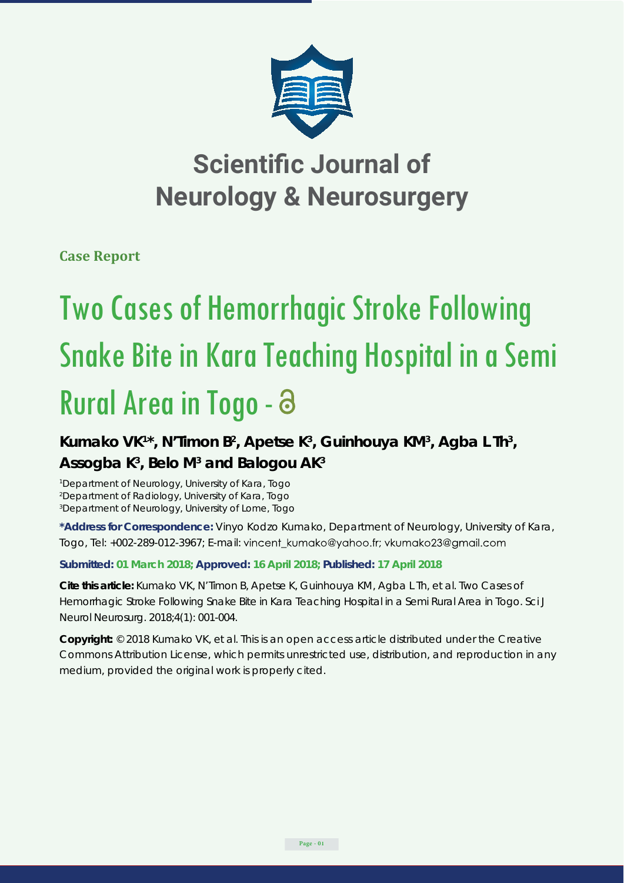

## **Scientific Journal of Neurology & Neurosurgery**

**Case Report**

# Two Cases of Hemorrhagic Stroke Following Snake Bite in Kara Teaching Hospital in a Semi Rural Area in Togo -

## Kumako VK<sup>1\*</sup>, N'Timon B<sup>2</sup>, Apetse K<sup>3</sup>, Guinhouya KM<sup>3</sup>, Agba L Th<sup>3</sup>, **Assogba K3 , Belo M3 and Balogou AK3**

*1 Department of Neurology, University of Kara, Togo 2 Department of Radiology, University of Kara, Togo 3 Department of Neurology, University of Lome, Togo*

**\*Address for Correspondence:** Vinyo Kodzo Kumako, Department of Neurology, University of Kara, Togo, Tel: +002-289-012-3967; E-mail: vincent\_kumako@yahoo.fr; vkumako23@gmail.com

### **Submitted: 01 March 2018; Approved: 16 April 2018; Published: 17 April 2018**

**Cite this article:** Kumako VK, N'Timon B, Apetse K, Guinhouya KM, Agba L Th, et al. Two Cases of Hemorrhagic Stroke Following Snake Bite in Kara Teaching Hospital in a Semi Rural Area in Togo. Sci J Neurol Neurosurg. 2018;4(1): 001-004.

**Copyright:** © 2018 Kumako VK, et al. This is an open access article distributed under the Creative Commons Attribution License, which permits unrestricted use, distribution, and reproduction in any medium, provided the original work is properly cited.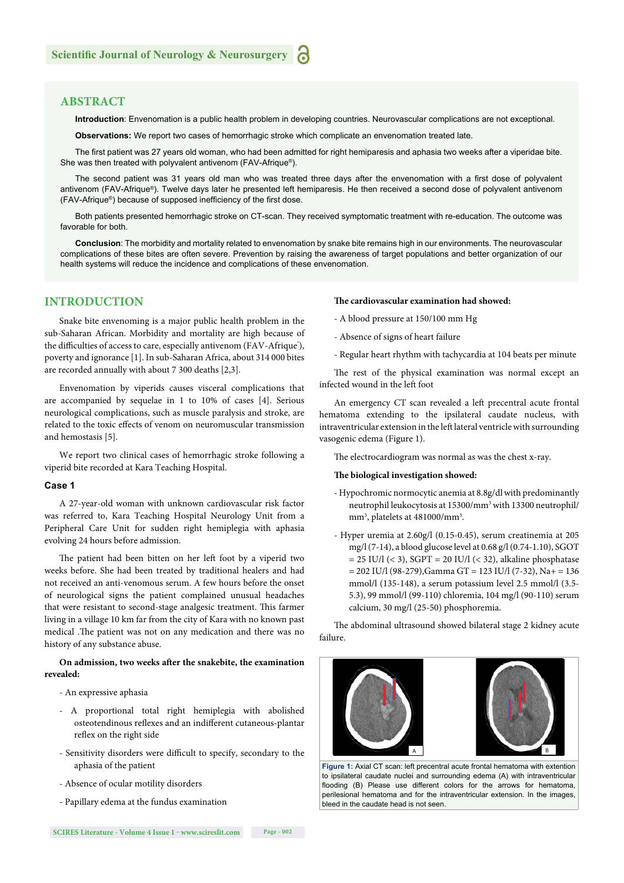#### **ABSTRACT**

**Introduction**: Envenomation is a public health problem in developing countries. Neurovascular complications are not exceptional.

**Observations:** We report two cases of hemorrhagic stroke which complicate an envenomation treated late.

The first patient was 27 years old woman, who had been admitted for right hemiparesis and aphasia two weeks after a viperidae bite. She was then treated with polyvalent antivenom (FAV-Afrique®).

The second patient was 31 years old man who was treated three days after the envenomation with a first dose of polyvalent antivenom (FAV-Afrique®). Twelve days later he presented left hemiparesis. He then received a second dose of polyvalent antivenom (FAV-Afrique®) because of supposed inefficiency of the first dose.

Both patients presented hemorrhagic stroke on CT-scan. They received symptomatic treatment with re-education. The outcome was favorable for both.

**Conclusion**: The morbidity and mortality related to envenomation by snake bite remains high in our environments. The neurovascular complications of these bites are often severe. Prevention by raising the awareness of target populations and better organization of our health systems will reduce the incidence and complications of these envenomation.

#### **INTRODUCTION**

Snake bite envenoming is a major public health problem in the sub-Saharan African. Morbidity and mortality are high because of the difficulties of access to care, especially antivenom (FAV-Afrique'), poverty and ignorance [1]. In sub-Saharan Africa, about 314 000 bites are recorded annually with about 7 300 deaths [2,3].

Envenomation by viperids causes visceral complications that are accompanied by sequelae in 1 to 10% of cases [4]. Serious neurological complications, such as muscle paralysis and stroke, are related to the toxic effects of venom on neuromuscular transmission and hemostasis [5].

We report two clinical cases of hemorrhagic stroke following a viperid bite recorded at Kara Teaching Hospital.

#### **Case 1**

A 27-year-old woman with unknown cardiovascular risk factor was referred to, Kara Teaching Hospital Neurology Unit from a Peripheral Care Unit for sudden right hemiplegia with aphasia evolving 24 hours before admission.

The patient had been bitten on her left foot by a viperid two weeks before. She had been treated by traditional healers and had not received an anti-venomous serum. A few hours before the onset of neurological signs the patient complained unusual headaches that were resistant to second-stage analgesic treatment. This farmer living in a village 10 km far from the city of Kara with no known past medical .The patient was not on any medication and there was no history of any substance abuse.

#### On admission, two weeks after the snakebite, the examination **revealed:**

- An expressive aphasia
- A proportional total right hemiplegia with abolished osteotendinous reflexes and an indifferent cutaneous-plantar reflex on the right side
- Sensitivity disorders were difficult to specify, secondary to the aphasia of the patient
- Absence of ocular motility disorders
- Papillary edema at the fundus examination

#### The cardiovascular examination had showed:

- A blood pressure at 150/100 mm Hg
- Absence of signs of heart failure
- Regular heart rhythm with tachycardia at 104 beats per minute

The rest of the physical examination was normal except an infected wound in the left foot

An emergency CT scan revealed a left precentral acute frontal hematoma extending to the ipsilateral caudate nucleus, with intraventricular extension in the left lateral ventricle with surrounding vasogenic edema (Figure 1).

The electrocardiogram was normal as was the chest x-ray.

#### The biological investigation showed:

- Hypochromic normocytic anemia at 8.8g/dl with predominantly neutrophil leukocytosis at 15300/mm3 with 13300 neutrophil/ mm<sup>3</sup>, platelets at 481000/mm<sup>3</sup>.
- Hyper uremia at 2.60g/l (0.15-0.45), serum creatinemia at 205 mg/l (7-14), a blood glucose level at 0.68 g/l (0.74-1.10), SGOT  $= 25$  IU/l (< 3), SGPT  $= 20$  IU/l (< 32), alkaline phosphatase  $= 202$  IU/l (98-279), Gamma GT = 123 IU/l (7-32), Na+ = 136 mmol/l (135-148), a serum potassium level 2.5 mmol/l (3.5- 5.3), 99 mmol/l (99-110) chloremia, 104 mg/l (90-110) serum calcium, 30 mg/l (25-50) phosphoremia.

The abdominal ultrasound showed bilateral stage 2 kidney acute failure.



**Figure 1:** Axial CT scan: left precentral acute frontal hematoma with extention to ipsilateral caudate nuclei and surrounding edema (A) with intraventricular flooding (B) Please use different colors for the arrows for hematoma, perilesional hematoma and for the intraventricular extension. In the images bleed in the caudate head is not seen.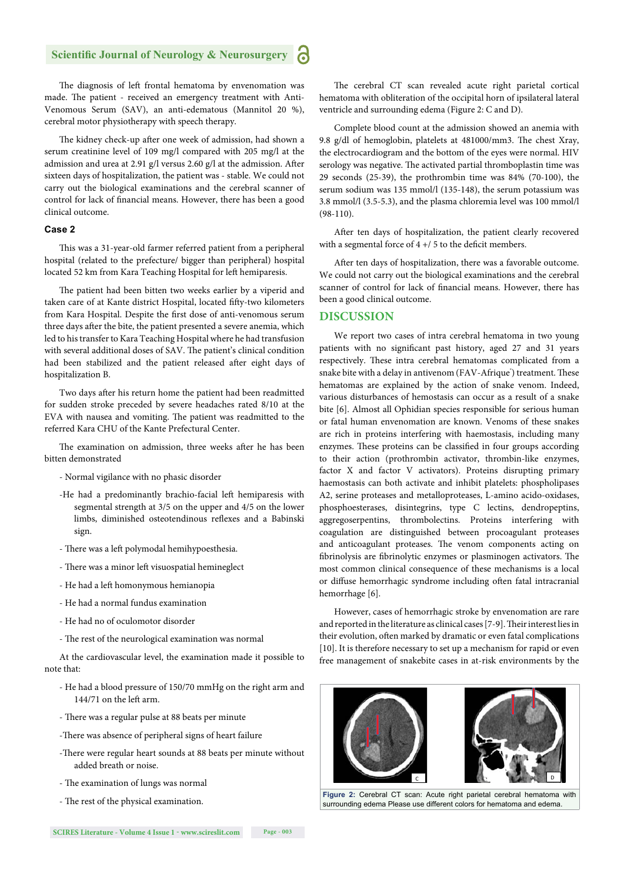#### **Scientific Journal of Neurology & Neurosurgery**

The diagnosis of left frontal hematoma by envenomation was made. The patient - received an emergency treatment with Anti-Venomous Serum (SAV), an anti-edematous (Mannitol 20 %), cerebral motor physiotherapy with speech therapy.

The kidney check-up after one week of admission, had shown a serum creatinine level of 109 mg/l compared with 205 mg/l at the admission and urea at 2.91 g/l versus 2.60 g/l at the admission. After sixteen days of hospitalization, the patient was - stable. We could not carry out the biological examinations and the cerebral scanner of control for lack of financial means. However, there has been a good clinical outcome.

#### **Case 2**

This was a 31-year-old farmer referred patient from a peripheral hospital (related to the prefecture/ bigger than peripheral) hospital located 52 km from Kara Teaching Hospital for left hemiparesis.

The patient had been bitten two weeks earlier by a viperid and taken care of at Kante district Hospital, located fifty-two kilometers from Kara Hospital. Despite the first dose of anti-venomous serum three days after the bite, the patient presented a severe anemia, which led to his transfer to Kara Teaching Hospital where he had transfusion with several additional doses of SAV. The patient's clinical condition had been stabilized and the patient released after eight days of hospitalization B.

Two days after his return home the patient had been readmitted for sudden stroke preceded by severe headaches rated 8/10 at the EVA with nausea and vomiting. The patient was readmitted to the referred Kara CHU of the Kante Prefectural Center.

The examination on admission, three weeks after he has been bitten demonstrated

- Normal vigilance with no phasic disorder
- -He had a predominantly brachio-facial left hemiparesis with segmental strength at 3/5 on the upper and 4/5 on the lower limbs, diminished osteotendinous reflexes and a Babinski sign.
- There was a left polymodal hemihypoesthesia.
- There was a minor left visuospatial hemineglect
- He had a left homonymous hemianopia
- He had a normal fundus examination
- He had no of oculomotor disorder
- The rest of the neurological examination was normal

At the cardiovascular level, the examination made it possible to note that:

- He had a blood pressure of 150/70 mmHg on the right arm and 144/71 on the left arm.
- There was a regular pulse at 88 beats per minute
- -There was absence of peripheral signs of heart failure
- -There were regular heart sounds at 88 beats per minute without added breath or noise.
- The examination of lungs was normal
- The rest of the physical examination.

**SCIRES Literature - Volume 4 Issue 1 - www.scireslit.com Page - 003**

The cerebral CT scan revealed acute right parietal cortical hematoma with obliteration of the occipital horn of ipsilateral lateral ventricle and surrounding edema (Figure 2: C and D).

Complete blood count at the admission showed an anemia with 9.8 g/dl of hemoglobin, platelets at 481000/mm3. The chest Xray, the electrocardiogram and the bottom of the eyes were normal. HIV serology was negative. The activated partial thromboplastin time was 29 seconds (25-39), the prothrombin time was 84% (70-100), the serum sodium was 135 mmol/l (135-148), the serum potassium was 3.8 mmol/l (3.5-5.3), and the plasma chloremia level was 100 mmol/l (98-110).

After ten days of hospitalization, the patient clearly recovered with a segmental force of  $4 + / 5$  to the deficit members.

After ten days of hospitalization, there was a favorable outcome. We could not carry out the biological examinations and the cerebral scanner of control for lack of financial means. However, there has been a good clinical outcome.

#### **DISCUSSION**

We report two cases of intra cerebral hematoma in two young patients with no significant past history, aged 27 and 31 years respectively. These intra cerebral hematomas complicated from a snake bite with a delay in antivenom (FAV-Afrique') treatment. These hematomas are explained by the action of snake venom. Indeed, various disturbances of hemostasis can occur as a result of a snake bite [6]. Almost all Ophidian species responsible for serious human or fatal human envenomation are known. Venoms of these snakes are rich in proteins interfering with haemostasis, including many enzymes. These proteins can be classified in four groups according to their action (prothrombin activator, thrombin-like enzymes, factor X and factor V activators). Proteins disrupting primary haemostasis can both activate and inhibit platelets: phospholipases A2, serine proteases and metalloproteases, L-amino acido-oxidases, phosphoesterases, disintegrins, type C lectins, dendropeptins, aggregoserpentins, thrombolectins. Proteins interfering with coagulation are distinguished between procoagulant proteases and anticoagulant proteases. The venom components acting on fibrinolysis are fibrinolytic enzymes or plasminogen activators. The most common clinical consequence of these mechanisms is a local or diffuse hemorrhagic syndrome including often fatal intracranial hemorrhage [6].

However, cases of hemorrhagic stroke by envenomation are rare and reported in the literature as clinical cases [7-9]. Their interest lies in their evolution, often marked by dramatic or even fatal complications [10]. It is therefore necessary to set up a mechanism for rapid or even free management of snakebite cases in at-risk environments by the



**Figure 2:** Cerebral CT scan: Acute right parietal cerebral hematoma with surrounding edema Please use different colors for hematoma and edema.